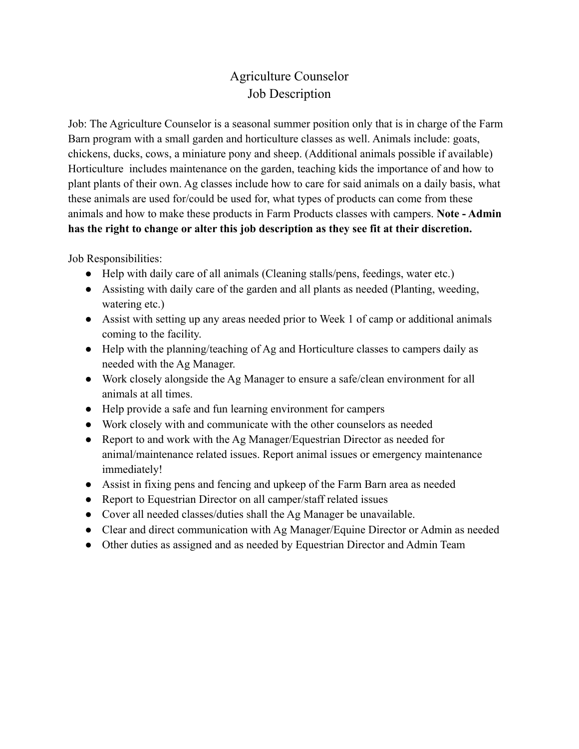## Agriculture Counselor Job Description

Job: The Agriculture Counselor is a seasonal summer position only that is in charge of the Farm Barn program with a small garden and horticulture classes as well. Animals include: goats, chickens, ducks, cows, a miniature pony and sheep. (Additional animals possible if available) Horticulture includes maintenance on the garden, teaching kids the importance of and how to plant plants of their own. Ag classes include how to care for said animals on a daily basis, what these animals are used for/could be used for, what types of products can come from these animals and how to make these products in Farm Products classes with campers. **Note - Admin has the right to change or alter this job description as they see fit at their discretion.**

Job Responsibilities:

- Help with daily care of all animals (Cleaning stalls/pens, feedings, water etc.)
- Assisting with daily care of the garden and all plants as needed (Planting, weeding, watering etc.)
- Assist with setting up any areas needed prior to Week 1 of camp or additional animals coming to the facility.
- Help with the planning/teaching of Ag and Horticulture classes to campers daily as needed with the Ag Manager.
- Work closely alongside the Ag Manager to ensure a safe/clean environment for all animals at all times.
- Help provide a safe and fun learning environment for campers
- Work closely with and communicate with the other counselors as needed
- Report to and work with the Ag Manager/Equestrian Director as needed for animal/maintenance related issues. Report animal issues or emergency maintenance immediately!
- Assist in fixing pens and fencing and upkeep of the Farm Barn area as needed
- Report to Equestrian Director on all camper/staff related issues
- Cover all needed classes/duties shall the Ag Manager be unavailable.
- Clear and direct communication with Ag Manager/Equine Director or Admin as needed
- Other duties as assigned and as needed by Equestrian Director and Admin Team